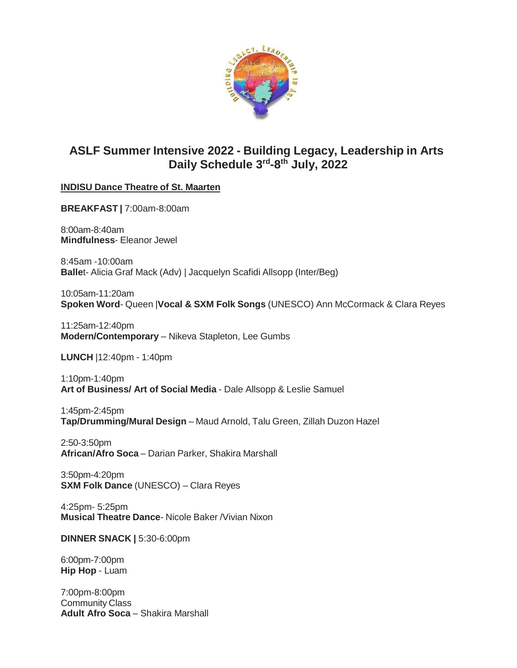

# **ASLF Summer Intensive 2022 - Building Legacy, Leadership in Arts Daily Schedule 3rd -8 th July, 2022**

## **INDISU Dance Theatre of St. Maarten**

**BREAKFAST |** 7:00am-8:00am

8:00am-8:40am **Mindfulness**- Eleanor Jewel

8:45am -10:00am **Balle**t- Alicia Graf Mack (Adv) | Jacquelyn Scafidi Allsopp (Inter/Beg)

10:05am-11:20am **Spoken Word**- Queen |**Vocal & SXM Folk Songs** (UNESCO) Ann McCormack & Clara Reyes

11:25am-12:40pm **Modern/Contemporary** – Nikeva Stapleton, Lee Gumbs

**LUNCH** |12:40pm - 1:40pm

1:10pm-1:40pm **Art of Business/ Art of Social Media** - Dale Allsopp & Leslie Samuel

1:45pm-2:45pm **Tap/Drumming/Mural Design** – Maud Arnold, Talu Green, Zillah Duzon Hazel

2:50-3:50pm **African/Afro Soca** – Darian Parker, Shakira Marshall

3:50pm-4:20pm **SXM Folk Dance** (UNESCO) – Clara Reyes

4:25pm- 5:25pm **Musical Theatre Dance**- Nicole Baker /Vivian Nixon

**DINNER SNACK |** 5:30-6:00pm

6:00pm-7:00pm **Hip Hop** - Luam

7:00pm-8:00pm Community Class **Adult Afro Soca** – Shakira Marshall